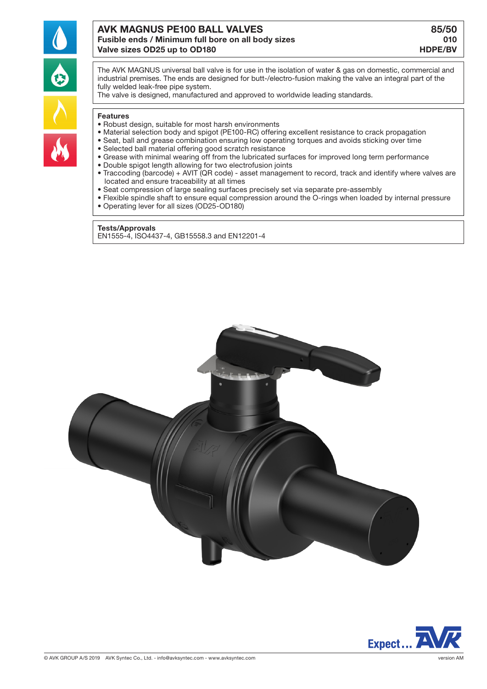

# AVK MAGNUS PE100 BALL VALVES **85/50** Fusible ends / Minimum full bore on all body sizes 010 Valve sizes OD25 up to OD180 https://www.assett.com/www.assett.com/www.assett.com/www.assett.com/www.assett.com/

The AVK MAGNUS universal ball valve is for use in the isolation of water & gas on domestic, commercial and industrial premises. The ends are designed for butt-/electro-fusion making the valve an integral part of the fully welded leak-free pipe system.

The valve is designed, manufactured and approved to worldwide leading standards.

#### Features

- Robust design, suitable for most harsh environments
- Material selection body and spigot (PE100-RC) offering excellent resistance to crack propagation
- Seat, ball and grease combination ensuring low operating torques and avoids sticking over time
- Selected ball material offering good scratch resistance
- Grease with minimal wearing off from the lubricated surfaces for improved long term performance
- Double spigot length allowing for two electrofusion joints
- Traccoding (barcode) + AVIT (QR code) asset management to record, track and identify where valves are located and ensure traceability at all times
- Seat compression of large sealing surfaces precisely set via separate pre-assembly
- Flexible spindle shaft to ensure equal compression around the O-rings when loaded by internal pressure
- Operating lever for all sizes (OD25-OD180)

### Tests/Approvals

EN1555-4, ISO4437-4, GB15558.3 and EN12201-4